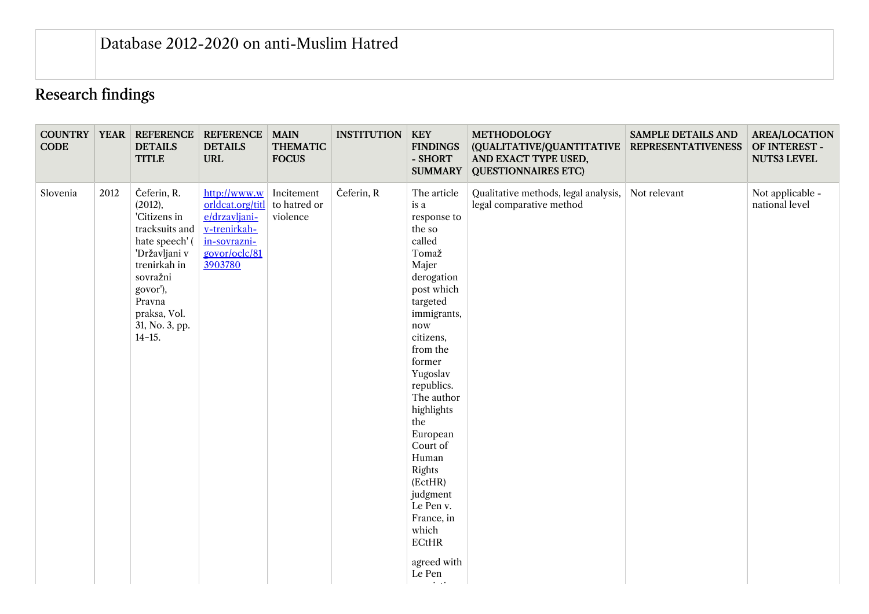## Research findings

| <b>CODE</b> |      | <b>COUNTRY   YEAR   REFERENCE</b><br><b>DETAILS</b><br><b>TITLE</b>                                                                                                                           | <b>REFERENCE</b><br><b>DETAILS</b><br><b>URL</b>                                                              | <b>MAIN</b><br><b>THEMATIC</b><br><b>FOCUS</b> | <b>INSTITUTION</b> | <b>KEY</b><br><b>FINDINGS</b><br>- SHORT<br><b>SUMMARY</b>                                                                                                                                                                                                                                                                                                                                                            | <b>METHODOLOGY</b><br>(QUALITATIVE/QUANTITATIVE<br>AND EXACT TYPE USED,<br><b>QUESTIONNAIRES ETC)</b> | <b>SAMPLE DETAILS AND</b><br><b>REPRESENTATIVENESS</b> | <b>AREA/LOCATION</b><br>OF INTEREST -<br><b>NUTS3 LEVEL</b> |
|-------------|------|-----------------------------------------------------------------------------------------------------------------------------------------------------------------------------------------------|---------------------------------------------------------------------------------------------------------------|------------------------------------------------|--------------------|-----------------------------------------------------------------------------------------------------------------------------------------------------------------------------------------------------------------------------------------------------------------------------------------------------------------------------------------------------------------------------------------------------------------------|-------------------------------------------------------------------------------------------------------|--------------------------------------------------------|-------------------------------------------------------------|
| Slovenia    | 2012 | Čeferin, R.<br>(2012),<br>'Citizens in<br>tracksuits and<br>hate speech' (<br>'Državljani v<br>trenirkah in<br>sovražni<br>govor'),<br>Pravna<br>praksa, Vol.<br>31, No. 3, pp.<br>$14 - 15.$ | http://www.w<br>orldcat.org/titl<br>e/drzavljani-<br>v-trenirkah-<br>in-sovrazni-<br>govor/oclc/81<br>3903780 | Incitement<br>to hatred or<br>violence         | Čeferin, R         | The article<br>is a<br>response to<br>the so<br>called<br>Tomaž<br>Majer<br>derogation<br>post which<br>targeted<br>immigrants,<br>now<br>citizens,<br>from the<br>former<br>Yugoslav<br>republics.<br>The author<br>highlights<br>the<br>European<br>Court of<br>Human<br>Rights<br>(EctHR)<br>judgment<br>Le Pen v.<br>France, in<br>which<br>ECHR<br>agreed with<br>Le Pen<br>$\bullet$ .<br><br>.<br><br><br><br> | Qualitative methods, legal analysis,<br>legal comparative method                                      | Not relevant                                           | Not applicable -<br>national level                          |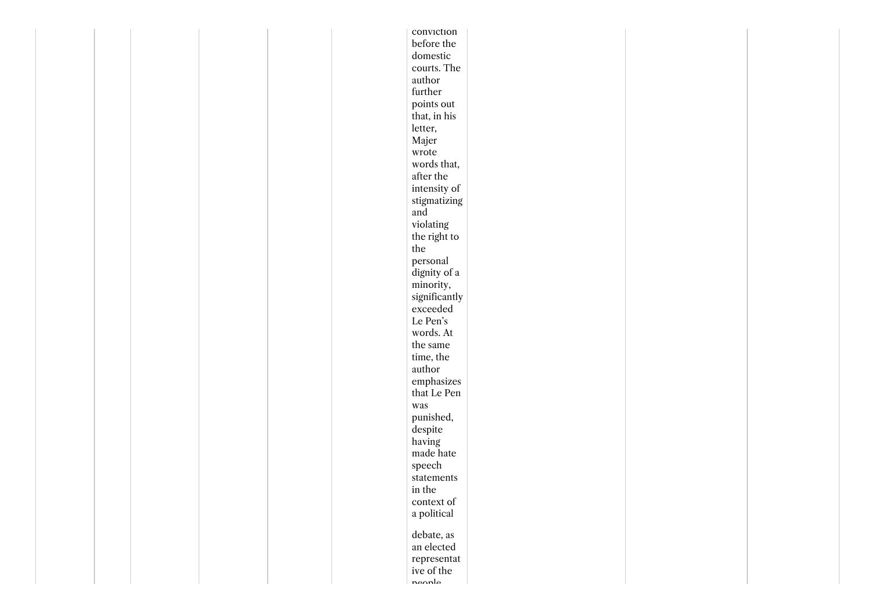|  |  |  | conviction                 |  |  |
|--|--|--|----------------------------|--|--|
|  |  |  | before the                 |  |  |
|  |  |  | domestic                   |  |  |
|  |  |  | courts. The                |  |  |
|  |  |  | author                     |  |  |
|  |  |  | further                    |  |  |
|  |  |  | points out                 |  |  |
|  |  |  | that, in his $\,$          |  |  |
|  |  |  | letter,                    |  |  |
|  |  |  | Majer                      |  |  |
|  |  |  | ${\rm wrote}$              |  |  |
|  |  |  | words that,                |  |  |
|  |  |  | after the                  |  |  |
|  |  |  | intensity of               |  |  |
|  |  |  | stigmatizing               |  |  |
|  |  |  | and                        |  |  |
|  |  |  | violating                  |  |  |
|  |  |  | the right to               |  |  |
|  |  |  | the                        |  |  |
|  |  |  | personal                   |  |  |
|  |  |  | dignity of a               |  |  |
|  |  |  | minority,                  |  |  |
|  |  |  | significantly              |  |  |
|  |  |  | exceeded                   |  |  |
|  |  |  | Le Pen's                   |  |  |
|  |  |  | words. At                  |  |  |
|  |  |  | the same                   |  |  |
|  |  |  | time, the                  |  |  |
|  |  |  | author                     |  |  |
|  |  |  | $\it{emphasizes}$          |  |  |
|  |  |  | that Le Pen                |  |  |
|  |  |  | was                        |  |  |
|  |  |  | punished,                  |  |  |
|  |  |  | despite                    |  |  |
|  |  |  | having                     |  |  |
|  |  |  | made hate                  |  |  |
|  |  |  | ${\rm speech}$             |  |  |
|  |  |  | $\rm statements$           |  |  |
|  |  |  | in the                     |  |  |
|  |  |  | $\mathop{\rm context\,of}$ |  |  |
|  |  |  | a political                |  |  |
|  |  |  | debate, as                 |  |  |
|  |  |  | an elected                 |  |  |
|  |  |  | representat                |  |  |
|  |  |  | ive of the                 |  |  |
|  |  |  | noonlo                     |  |  |